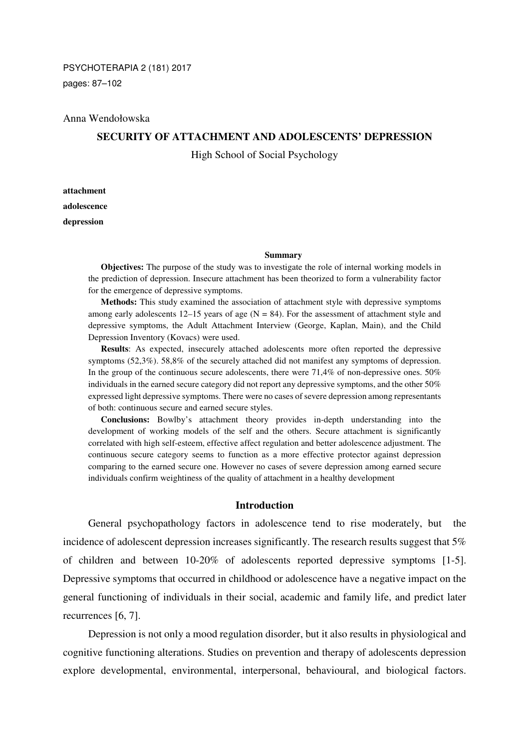#### Anna Wendołowska

# **SECURITY OF ATTACHMENT AND ADOLESCENTS' DEPRESSION**

High School of Social Psychology

**attachment adolescence depression** 

#### **Summary**

**Objectives:** The purpose of the study was to investigate the role of internal working models in the prediction of depression. Insecure attachment has been theorized to form a vulnerability factor for the emergence of depressive symptoms.

**Methods:** This study examined the association of attachment style with depressive symptoms among early adolescents 12–15 years of age  $(N = 84)$ . For the assessment of attachment style and depressive symptoms, the Adult Attachment Interview (George, Kaplan, Main), and the Child Depression Inventory (Kovacs) were used.

**Results**: As expected, insecurely attached adolescents more often reported the depressive symptoms (52,3%). 58,8% of the securely attached did not manifest any symptoms of depression. In the group of the continuous secure adolescents, there were 71,4% of non-depressive ones. 50% individuals in the earned secure category did not report any depressive symptoms, and the other 50% expressed light depressive symptoms. There were no cases of severe depression among representants of both: continuous secure and earned secure styles.

**Conclusions:** Bowlby's attachment theory provides in-depth understanding into the development of working models of the self and the others. Secure attachment is significantly correlated with high self-esteem, effective affect regulation and better adolescence adjustment. The continuous secure category seems to function as a more effective protector against depression comparing to the earned secure one. However no cases of severe depression among earned secure individuals confirm weightiness of the quality of attachment in a healthy development

## **Introduction**

General psychopathology factors in adolescence tend to rise moderately, but the incidence of adolescent depression increases significantly. The research results suggest that 5% of children and between 10-20% of adolescents reported depressive symptoms [1-5]. Depressive symptoms that occurred in childhood or adolescence have a negative impact on the general functioning of individuals in their social, academic and family life, and predict later recurrences [6, 7].

Depression is not only a mood regulation disorder, but it also results in physiological and cognitive functioning alterations. Studies on prevention and therapy of adolescents depression explore developmental, environmental, interpersonal, behavioural, and biological factors.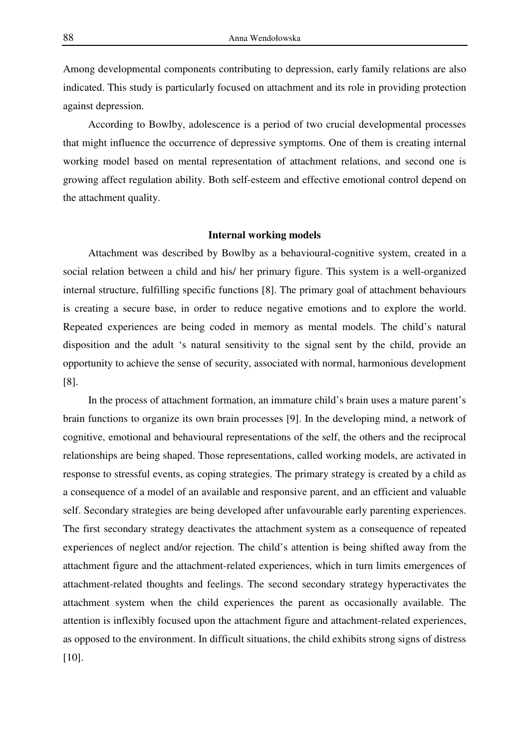Among developmental components contributing to depression, early family relations are also indicated. This study is particularly focused on attachment and its role in providing protection against depression.

According to Bowlby, adolescence is a period of two crucial developmental processes that might influence the occurrence of depressive symptoms. One of them is creating internal working model based on mental representation of attachment relations, and second one is growing affect regulation ability. Both self-esteem and effective emotional control depend on the attachment quality.

### **Internal working models**

Attachment was described by Bowlby as a behavioural-cognitive system, created in a social relation between a child and his/ her primary figure. This system is a well-organized internal structure, fulfilling specific functions [8]. The primary goal of attachment behaviours is creating a secure base, in order to reduce negative emotions and to explore the world. Repeated experiences are being coded in memory as mental models. The child's natural disposition and the adult 's natural sensitivity to the signal sent by the child, provide an opportunity to achieve the sense of security, associated with normal, harmonious development [8].

In the process of attachment formation, an immature child's brain uses a mature parent's brain functions to organize its own brain processes [9]. In the developing mind, a network of cognitive, emotional and behavioural representations of the self, the others and the reciprocal relationships are being shaped. Those representations, called working models, are activated in response to stressful events, as coping strategies. The primary strategy is created by a child as a consequence of a model of an available and responsive parent, and an efficient and valuable self. Secondary strategies are being developed after unfavourable early parenting experiences. The first secondary strategy deactivates the attachment system as a consequence of repeated experiences of neglect and/or rejection. The child's attention is being shifted away from the attachment figure and the attachment-related experiences, which in turn limits emergences of attachment-related thoughts and feelings. The second secondary strategy hyperactivates the attachment system when the child experiences the parent as occasionally available. The attention is inflexibly focused upon the attachment figure and attachment-related experiences, as opposed to the environment. In difficult situations, the child exhibits strong signs of distress [10].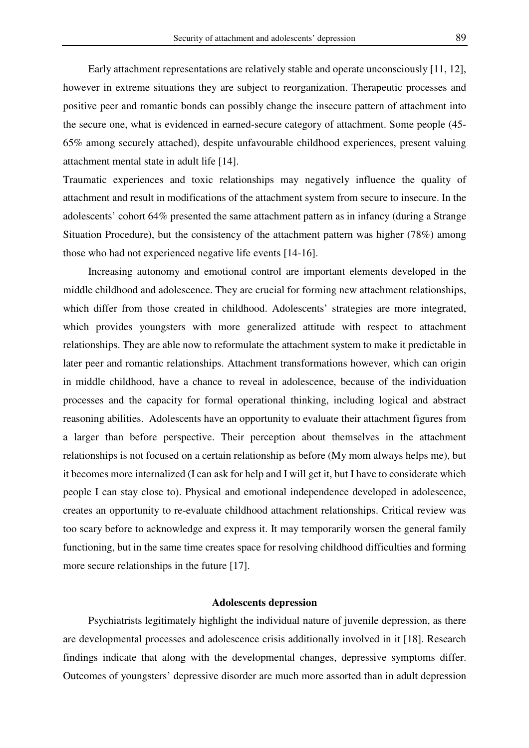Early attachment representations are relatively stable and operate unconsciously [11, 12], however in extreme situations they are subject to reorganization. Therapeutic processes and positive peer and romantic bonds can possibly change the insecure pattern of attachment into the secure one, what is evidenced in earned-secure category of attachment. Some people (45- 65% among securely attached), despite unfavourable childhood experiences, present valuing attachment mental state in adult life [14].

Traumatic experiences and toxic relationships may negatively influence the quality of attachment and result in modifications of the attachment system from secure to insecure. In the adolescents' cohort 64% presented the same attachment pattern as in infancy (during a Strange Situation Procedure), but the consistency of the attachment pattern was higher (78%) among those who had not experienced negative life events [14-16].

Increasing autonomy and emotional control are important elements developed in the middle childhood and adolescence. They are crucial for forming new attachment relationships, which differ from those created in childhood. Adolescents' strategies are more integrated, which provides youngsters with more generalized attitude with respect to attachment relationships. They are able now to reformulate the attachment system to make it predictable in later peer and romantic relationships. Attachment transformations however, which can origin in middle childhood, have a chance to reveal in adolescence, because of the individuation processes and the capacity for formal operational thinking, including logical and abstract reasoning abilities. Adolescents have an opportunity to evaluate their attachment figures from a larger than before perspective. Their perception about themselves in the attachment relationships is not focused on a certain relationship as before (My mom always helps me), but it becomes more internalized (I can ask for help and I will get it, but I have to considerate which people I can stay close to). Physical and emotional independence developed in adolescence, creates an opportunity to re-evaluate childhood attachment relationships. Critical review was too scary before to acknowledge and express it. It may temporarily worsen the general family functioning, but in the same time creates space for resolving childhood difficulties and forming more secure relationships in the future [17].

#### **Adolescents depression**

Psychiatrists legitimately highlight the individual nature of juvenile depression, as there are developmental processes and adolescence crisis additionally involved in it [18]. Research findings indicate that along with the developmental changes, depressive symptoms differ. Outcomes of youngsters' depressive disorder are much more assorted than in adult depression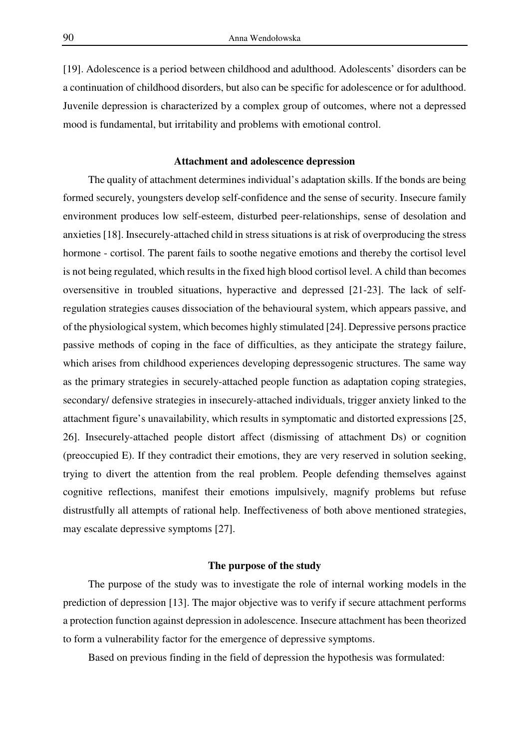[19]. Adolescence is a period between childhood and adulthood. Adolescents' disorders can be a continuation of childhood disorders, but also can be specific for adolescence or for adulthood. Juvenile depression is characterized by a complex group of outcomes, where not a depressed mood is fundamental, but irritability and problems with emotional control.

### **Attachment and adolescence depression**

The quality of attachment determines individual's adaptation skills. If the bonds are being formed securely, youngsters develop self-confidence and the sense of security. Insecure family environment produces low self-esteem, disturbed peer-relationships, sense of desolation and anxieties [18]. Insecurely-attached child in stress situations is at risk of overproducing the stress hormone - cortisol. The parent fails to soothe negative emotions and thereby the cortisol level is not being regulated, which results in the fixed high blood cortisol level. A child than becomes oversensitive in troubled situations, hyperactive and depressed [21-23]. The lack of selfregulation strategies causes dissociation of the behavioural system, which appears passive, and of the physiological system, which becomes highly stimulated [24]. Depressive persons practice passive methods of coping in the face of difficulties, as they anticipate the strategy failure, which arises from childhood experiences developing depressogenic structures. The same way as the primary strategies in securely-attached people function as adaptation coping strategies, secondary/ defensive strategies in insecurely-attached individuals, trigger anxiety linked to the attachment figure's unavailability, which results in symptomatic and distorted expressions [25, 26]. Insecurely-attached people distort affect (dismissing of attachment Ds) or cognition (preoccupied E). If they contradict their emotions, they are very reserved in solution seeking, trying to divert the attention from the real problem. People defending themselves against cognitive reflections, manifest their emotions impulsively, magnify problems but refuse distrustfully all attempts of rational help. Ineffectiveness of both above mentioned strategies, may escalate depressive symptoms [27].

### **The purpose of the study**

The purpose of the study was to investigate the role of internal working models in the prediction of depression [13]. The major objective was to verify if secure attachment performs a protection function against depression in adolescence. Insecure attachment has been theorized to form a vulnerability factor for the emergence of depressive symptoms.

Based on previous finding in the field of depression the hypothesis was formulated: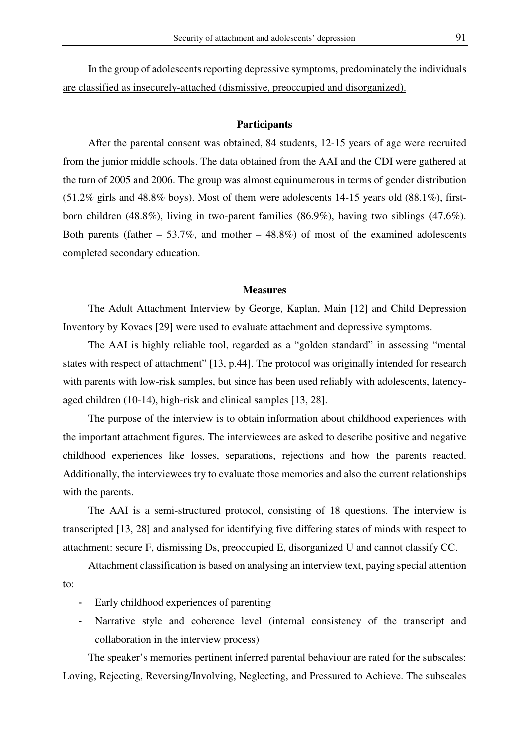In the group of adolescents reporting depressive symptoms, predominately the individuals are classified as insecurely-attached (dismissive, preoccupied and disorganized).

#### **Participants**

After the parental consent was obtained, 84 students, 12-15 years of age were recruited from the junior middle schools. The data obtained from the AAI and the CDI were gathered at the turn of 2005 and 2006. The group was almost equinumerous in terms of gender distribution (51.2% girls and 48.8% boys). Most of them were adolescents 14-15 years old (88.1%), firstborn children (48.8%), living in two-parent families (86.9%), having two siblings (47.6%). Both parents (father  $-53.7\%$ , and mother  $-48.8\%$ ) of most of the examined adolescents completed secondary education.

#### **Measures**

The Adult Attachment Interview by George, Kaplan, Main [12] and Child Depression Inventory by Kovacs [29] were used to evaluate attachment and depressive symptoms.

The AAI is highly reliable tool, regarded as a "golden standard" in assessing "mental states with respect of attachment" [13, p.44]. The protocol was originally intended for research with parents with low-risk samples, but since has been used reliably with adolescents, latencyaged children (10-14), high-risk and clinical samples [13, 28].

The purpose of the interview is to obtain information about childhood experiences with the important attachment figures. The interviewees are asked to describe positive and negative childhood experiences like losses, separations, rejections and how the parents reacted. Additionally, the interviewees try to evaluate those memories and also the current relationships with the parents.

The AAI is a semi-structured protocol, consisting of 18 questions. The interview is transcripted [13, 28] and analysed for identifying five differing states of minds with respect to attachment: secure F, dismissing Ds, preoccupied E, disorganized U and cannot classify CC.

Attachment classification is based on analysing an interview text, paying special attention to:

- Early childhood experiences of parenting
- Narrative style and coherence level (internal consistency of the transcript and collaboration in the interview process)

The speaker's memories pertinent inferred parental behaviour are rated for the subscales: Loving, Rejecting, Reversing/Involving, Neglecting, and Pressured to Achieve. The subscales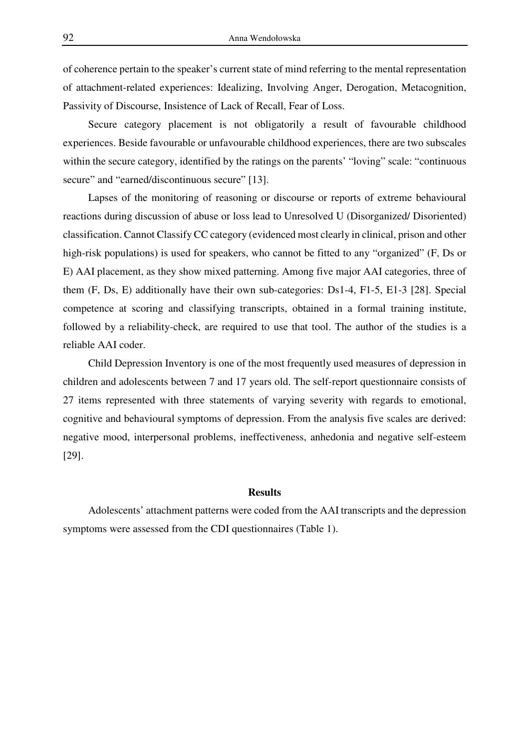of coherence pertain to the speaker's current state of mind referring to the mental representation of attachment-related experiences: Idealizing, Involving Anger, Derogation, Metacognition, Passivity of Discourse, Insistence of Lack of Recall, Fear of Loss.

Secure category placement is not obligatorily a result of favourable childhood experiences. Beside favourable or unfavourable childhood experiences, there are two subscales within the secure category, identified by the ratings on the parents' "loving" scale: "continuous secure" and "earned/discontinuous secure" [13].

Lapses of the monitoring of reasoning or discourse or reports of extreme behavioural reactions during discussion of abuse or loss lead to Unresolved U (Disorganized/ Disoriented) classification. Cannot Classify CC category (evidenced most clearly in clinical, prison and other high-risk populations) is used for speakers, who cannot be fitted to any "organized" (F, Ds or E) AAI placement, as they show mixed patterning. Among five major AAI categories, three of them (F, Ds, E) additionally have their own sub-categories: Ds1-4, F1-5, E1-3 [28]. Special competence at scoring and classifying transcripts, obtained in a formal training institute, followed by a reliability-check, are required to use that tool. The author of the studies is a reliable AAI coder.

Child Depression Inventory is one of the most frequently used measures of depression in children and adolescents between 7 and 17 years old. The self-report questionnaire consists of 27 items represented with three statements of varying severity with regards to emotional, cognitive and behavioural symptoms of depression. From the analysis five scales are derived: negative mood, interpersonal problems, ineffectiveness, anhedonia and negative self-esteem [29].

## **Results**

Adolescents' attachment patterns were coded from the AAI transcripts and the depression symptoms were assessed from the CDI questionnaires (Table 1).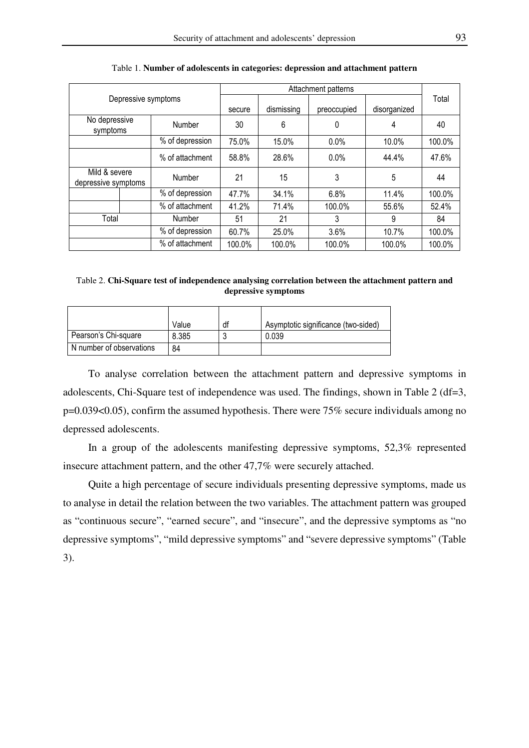|                                      |  | Attachment patterns |            |             |              |        |        |
|--------------------------------------|--|---------------------|------------|-------------|--------------|--------|--------|
| Depressive symptoms                  |  |                     |            |             |              | Total  |        |
|                                      |  | secure              | dismissing | preoccupied | disorganized |        |        |
| No depressive<br>symptoms            |  | Number              | 30         | 6           | 0            | 4      | 40     |
|                                      |  | % of depression     | 75.0%      | 15.0%       | 0.0%         | 10.0%  | 100.0% |
|                                      |  | % of attachment     | 58.8%      | 28.6%       | $0.0\%$      | 44.4%  | 47.6%  |
| Mild & severe<br>depressive symptoms |  | Number              | 21         | 15          | 3            | 5      | 44     |
|                                      |  | % of depression     | 47.7%      | 34.1%       | 6.8%         | 11.4%  | 100.0% |
|                                      |  | % of attachment     | 41.2%      | 71.4%       | 100.0%       | 55.6%  | 52.4%  |
| Total                                |  | Number              | 51         | 21          | 3            | 9      | 84     |
|                                      |  | % of depression     | 60.7%      | 25.0%       | 3.6%         | 10.7%  | 100.0% |
|                                      |  | % of attachment     | 100.0%     | 100.0%      | 100.0%       | 100.0% | 100.0% |

Table 1. **Number of adolescents in categories: depression and attachment pattern** 

| Table 2. Chi-Square test of independence analysing correlation between the attachment pattern and |  |
|---------------------------------------------------------------------------------------------------|--|
| depressive symptoms                                                                               |  |

|                          | Value | df | Asymptotic significance (two-sided) |
|--------------------------|-------|----|-------------------------------------|
| Pearson's Chi-square     | 8.385 |    | 0.039                               |
| N number of observations | 84    |    |                                     |

To analyse correlation between the attachment pattern and depressive symptoms in adolescents, Chi-Square test of independence was used. The findings, shown in Table 2 (df=3, p=0.039<0.05), confirm the assumed hypothesis. There were 75% secure individuals among no depressed adolescents.

In a group of the adolescents manifesting depressive symptoms, 52,3% represented insecure attachment pattern, and the other 47,7% were securely attached.

Quite a high percentage of secure individuals presenting depressive symptoms, made us to analyse in detail the relation between the two variables. The attachment pattern was grouped as "continuous secure", "earned secure", and "insecure", and the depressive symptoms as "no depressive symptoms", "mild depressive symptoms" and "severe depressive symptoms" (Table 3).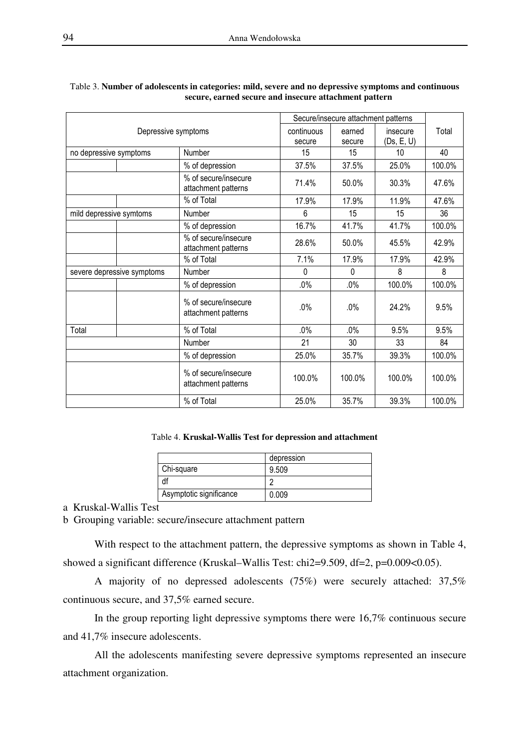|                            |                                             | Secure/insecure attachment patterns |          |            |        |
|----------------------------|---------------------------------------------|-------------------------------------|----------|------------|--------|
| Depressive symptoms        | continuous                                  | earned                              | insecure | Total      |        |
|                            |                                             | secure                              | secure   | (Ds, E, U) |        |
| no depressive symptoms     | Number                                      | 15                                  | 15       | 10         | 40     |
|                            | % of depression                             | 37.5%                               | 37.5%    | 25.0%      | 100.0% |
|                            | % of secure/insecure<br>attachment patterns | 71.4%                               | 50.0%    | 30.3%      | 47.6%  |
|                            | % of Total                                  | 17.9%                               | 17.9%    | 11.9%      | 47.6%  |
| mild depressive symtoms    | Number                                      | 6                                   | 15       | 15         | 36     |
|                            | % of depression                             | 16.7%                               | 41.7%    | 41.7%      | 100.0% |
|                            | % of secure/insecure<br>attachment patterns | 28.6%                               | 50.0%    | 45.5%      | 42.9%  |
|                            | % of Total                                  | 7.1%                                | 17.9%    | 17.9%      | 42.9%  |
| severe depressive symptoms | Number                                      | 0                                   | 0        | 8          | 8      |
|                            | % of depression                             | $.0\%$                              | $.0\%$   | 100.0%     | 100.0% |
|                            | % of secure/insecure<br>attachment patterns | $.0\%$                              | .0%      | 24.2%      | 9.5%   |
| Total                      | % of Total                                  | $.0\%$                              | $.0\%$   | 9.5%       | 9.5%   |
|                            | Number                                      | 21                                  | 30       | 33         | 84     |
|                            | % of depression                             | 25.0%                               | 35.7%    | 39.3%      | 100.0% |
|                            | % of secure/insecure<br>attachment patterns | 100.0%                              | 100.0%   | 100.0%     | 100.0% |
|                            | % of Total                                  | 25.0%                               | 35.7%    | 39.3%      | 100.0% |

#### Table 3. **Number of adolescents in categories: mild, severe and no depressive symptoms and continuous secure, earned secure and insecure attachment pattern**

## Table 4. **Kruskal-Wallis Test for depression and attachment**

|                         | depression |
|-------------------------|------------|
| Chi-square              | 9.509      |
|                         |            |
| Asymptotic significance | 0.009      |

a Kruskal-Wallis Test

b Grouping variable: secure/insecure attachment pattern

With respect to the attachment pattern, the depressive symptoms as shown in Table 4, showed a significant difference (Kruskal–Wallis Test: chi2=9.509, df=2, p=0.009<0.05).

A majority of no depressed adolescents (75%) were securely attached: 37,5% continuous secure, and 37,5% earned secure.

In the group reporting light depressive symptoms there were 16,7% continuous secure and 41,7% insecure adolescents.

All the adolescents manifesting severe depressive symptoms represented an insecure attachment organization.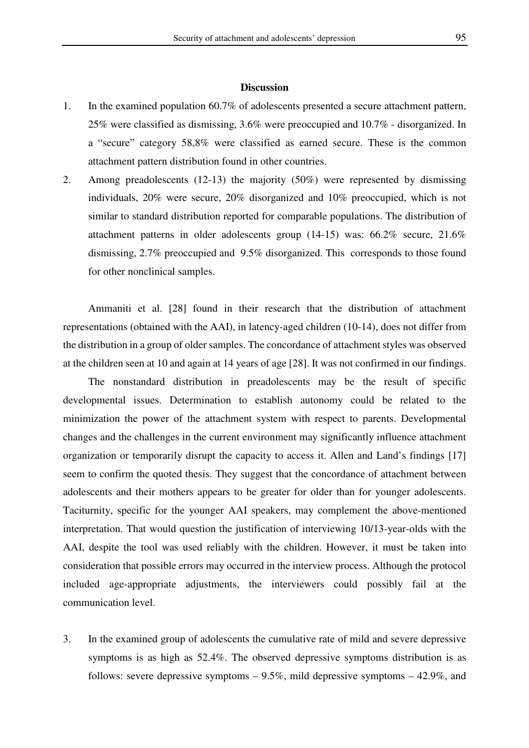#### **Discussion**

- 1. In the examined population 60.7% of adolescents presented a secure attachment pattern, 25% were classified as dismissing, 3.6% were preoccupied and 10.7% - disorganized. In a "secure" category 58,8% were classified as earned secure. These is the common attachment pattern distribution found in other countries.
- 2. Among preadolescents (12-13) the majority (50%) were represented by dismissing individuals, 20% were secure, 20% disorganized and 10% preoccupied, which is not similar to standard distribution reported for comparable populations. The distribution of attachment patterns in older adolescents group (14-15) was: 66.2% secure, 21.6% dismissing, 2.7% preoccupied and 9.5% disorganized. This corresponds to those found for other nonclinical samples.

Ammaniti et al. [28] found in their research that the distribution of attachment representations (obtained with the AAI), in latency-aged children (10-14), does not differ from the distribution in a group of older samples. The concordance of attachment styles was observed at the children seen at 10 and again at 14 years of age [28]. It was not confirmed in our findings.

The nonstandard distribution in preadolescents may be the result of specific developmental issues. Determination to establish autonomy could be related to the minimization the power of the attachment system with respect to parents. Developmental changes and the challenges in the current environment may significantly influence attachment organization or temporarily disrupt the capacity to access it. Allen and Land's findings [17] seem to confirm the quoted thesis. They suggest that the concordance of attachment between adolescents and their mothers appears to be greater for older than for younger adolescents. Taciturnity, specific for the younger AAI speakers, may complement the above-mentioned interpretation. That would question the justification of interviewing 10/13-year-olds with the AAI, despite the tool was used reliably with the children. However, it must be taken into consideration that possible errors may occurred in the interview process. Although the protocol included age-appropriate adjustments, the interviewers could possibly fail at the communication level.

3. In the examined group of adolescents the cumulative rate of mild and severe depressive symptoms is as high as 52.4%. The observed depressive symptoms distribution is as follows: severe depressive symptoms  $-9.5\%$ , mild depressive symptoms  $-42.9\%$ , and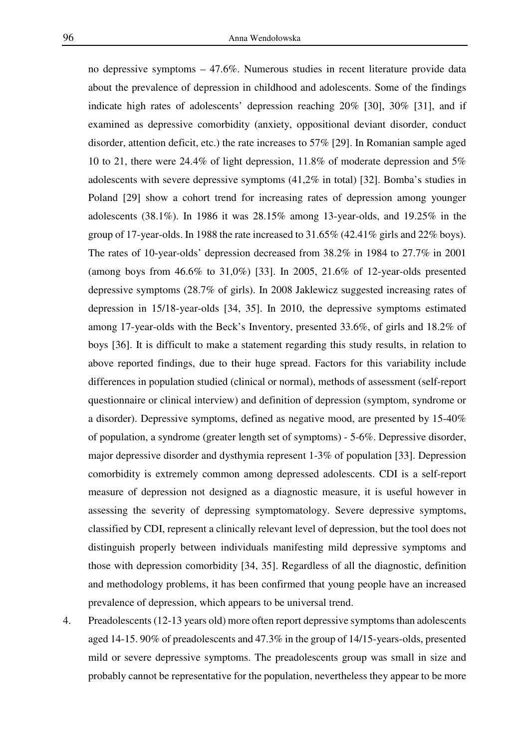no depressive symptoms – 47.6%. Numerous studies in recent literature provide data about the prevalence of depression in childhood and adolescents. Some of the findings indicate high rates of adolescents' depression reaching 20% [30], 30% [31], and if examined as depressive comorbidity (anxiety, oppositional deviant disorder, conduct disorder, attention deficit, etc.) the rate increases to 57% [29]. In Romanian sample aged 10 to 21, there were 24.4% of light depression, 11.8% of moderate depression and 5% adolescents with severe depressive symptoms (41,2% in total) [32]. Bomba's studies in Poland [29] show a cohort trend for increasing rates of depression among younger adolescents (38.1%). In 1986 it was 28.15% among 13-year-olds, and 19.25% in the group of 17-year-olds. In 1988 the rate increased to 31.65% (42.41% girls and 22% boys). The rates of 10-year-olds' depression decreased from 38.2% in 1984 to 27.7% in 2001 (among boys from 46.6% to 31,0%) [33]. In 2005, 21.6% of 12-year-olds presented depressive symptoms (28.7% of girls). In 2008 Jaklewicz suggested increasing rates of depression in 15/18-year-olds [34, 35]. In 2010, the depressive symptoms estimated among 17-year-olds with the Beck's Inventory, presented 33.6%, of girls and 18.2% of boys [36]. It is difficult to make a statement regarding this study results, in relation to above reported findings, due to their huge spread. Factors for this variability include differences in population studied (clinical or normal), methods of assessment (self-report questionnaire or clinical interview) and definition of depression (symptom, syndrome or a disorder). Depressive symptoms, defined as negative mood, are presented by 15-40% of population, a syndrome (greater length set of symptoms) - 5-6%. Depressive disorder, major depressive disorder and dysthymia represent 1-3% of population [33]. Depression comorbidity is extremely common among depressed adolescents. CDI is a self-report measure of depression not designed as a diagnostic measure, it is useful however in assessing the severity of depressing symptomatology. Severe depressive symptoms, classified by CDI, represent a clinically relevant level of depression, but the tool does not distinguish properly between individuals manifesting mild depressive symptoms and those with depression comorbidity [34, 35]. Regardless of all the diagnostic, definition and methodology problems, it has been confirmed that young people have an increased prevalence of depression, which appears to be universal trend.

4. Preadolescents (12-13 years old) more often report depressive symptoms than adolescents aged 14-15. 90% of preadolescents and 47.3% in the group of 14/15-years-olds, presented mild or severe depressive symptoms. The preadolescents group was small in size and probably cannot be representative for the population, nevertheless they appear to be more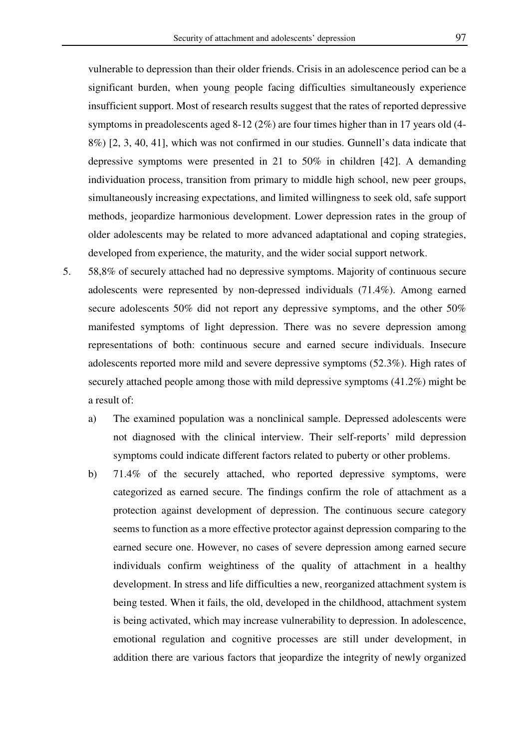vulnerable to depression than their older friends. Crisis in an adolescence period can be a significant burden, when young people facing difficulties simultaneously experience insufficient support. Most of research results suggest that the rates of reported depressive symptoms in preadolescents aged 8-12 (2%) are four times higher than in 17 years old (4- 8%) [2, 3, 40, 41], which was not confirmed in our studies. Gunnell's data indicate that depressive symptoms were presented in 21 to 50% in children [42]. A demanding individuation process, transition from primary to middle high school, new peer groups, simultaneously increasing expectations, and limited willingness to seek old, safe support methods, jeopardize harmonious development. Lower depression rates in the group of older adolescents may be related to more advanced adaptational and coping strategies, developed from experience, the maturity, and the wider social support network.

- 5. 58,8% of securely attached had no depressive symptoms. Majority of continuous secure adolescents were represented by non-depressed individuals (71.4%). Among earned secure adolescents 50% did not report any depressive symptoms, and the other 50% manifested symptoms of light depression. There was no severe depression among representations of both: continuous secure and earned secure individuals. Insecure adolescents reported more mild and severe depressive symptoms (52.3%). High rates of securely attached people among those with mild depressive symptoms (41.2%) might be a result of:
	- a) The examined population was a nonclinical sample. Depressed adolescents were not diagnosed with the clinical interview. Their self-reports' mild depression symptoms could indicate different factors related to puberty or other problems.
	- b) 71.4% of the securely attached, who reported depressive symptoms, were categorized as earned secure. The findings confirm the role of attachment as a protection against development of depression. The continuous secure category seems to function as a more effective protector against depression comparing to the earned secure one. However, no cases of severe depression among earned secure individuals confirm weightiness of the quality of attachment in a healthy development. In stress and life difficulties a new, reorganized attachment system is being tested. When it fails, the old, developed in the childhood, attachment system is being activated, which may increase vulnerability to depression. In adolescence, emotional regulation and cognitive processes are still under development, in addition there are various factors that jeopardize the integrity of newly organized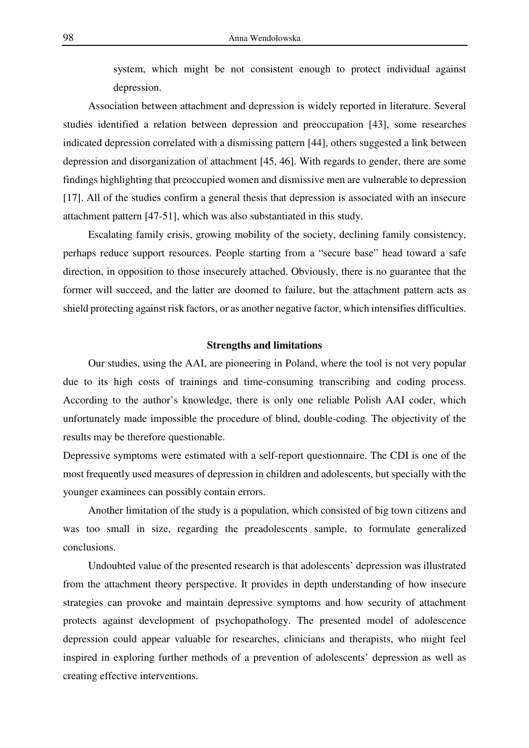system, which might be not consistent enough to protect individual against depression.

Association between attachment and depression is widely reported in literature. Several studies identified a relation between depression and preoccupation [43], some researches indicated depression correlated with a dismissing pattern [44], others suggested a link between depression and disorganization of attachment [45, 46]. With regards to gender, there are some findings highlighting that preoccupied women and dismissive men are vulnerable to depression [17]. All of the studies confirm a general thesis that depression is associated with an insecure attachment pattern [47-51], which was also substantiated in this study.

Escalating family crisis, growing mobility of the society, declining family consistency, perhaps reduce support resources. People starting from a "secure base" head toward a safe direction, in opposition to those insecurely attached. Obviously, there is no guarantee that the former will succeed, and the latter are doomed to failure, but the attachment pattern acts as shield protecting against risk factors, or as another negative factor, which intensifies difficulties.

## **Strengths and limitations**

Our studies, using the AAI, are pioneering in Poland, where the tool is not very popular due to its high costs of trainings and time-consuming transcribing and coding process. According to the author's knowledge, there is only one reliable Polish AAI coder, which unfortunately made impossible the procedure of blind, double-coding. The objectivity of the results may be therefore questionable.

Depressive symptoms were estimated with a self-report questionnaire. The CDI is one of the most frequently used measures of depression in children and adolescents, but specially with the younger examinees can possibly contain errors.

Another limitation of the study is a population, which consisted of big town citizens and was too small in size, regarding the preadolescents sample, to formulate generalized conclusions.

Undoubted value of the presented research is that adolescents' depression was illustrated from the attachment theory perspective. It provides in depth understanding of how insecure strategies can provoke and maintain depressive symptoms and how security of attachment protects against development of psychopathology. The presented model of adolescence depression could appear valuable for researches, clinicians and therapists, who might feel inspired in exploring further methods of a prevention of adolescents' depression as well as creating effective interventions.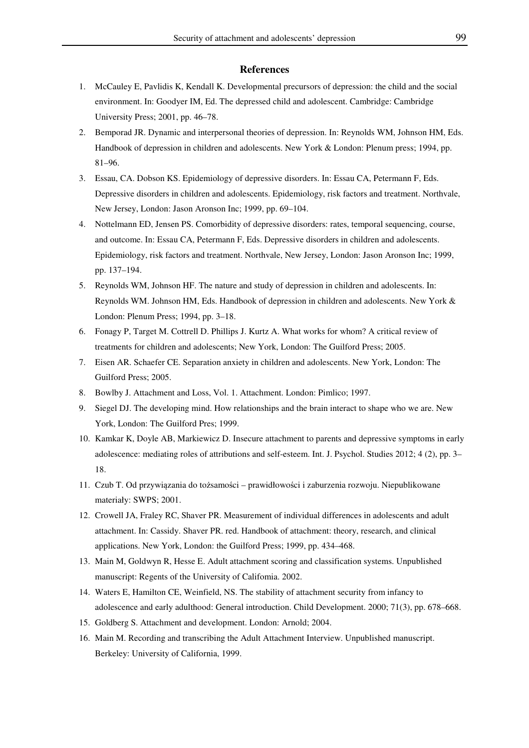#### **References**

- 1. McCauley E, Pavlidis K, Kendall K. Developmental precursors of depression: the child and the social environment. In: Goodyer IM, Ed. The depressed child and adolescent. Cambridge: Cambridge University Press; 2001, pp. 46–78.
- 2. Bemporad JR. Dynamic and interpersonal theories of depression. In: Reynolds WM, Johnson HM, Eds. Handbook of depression in children and adolescents. New York & London: Plenum press; 1994, pp. 81–96.
- 3. Essau, CA. Dobson KS. Epidemiology of depressive disorders. In: Essau CA, Petermann F, Eds. Depressive disorders in children and adolescents. Epidemiology, risk factors and treatment. Northvale, New Jersey, London: Jason Aronson Inc; 1999, pp. 69–104.
- 4. Nottelmann ED, Jensen PS. Comorbidity of depressive disorders: rates, temporal sequencing, course, and outcome. In: Essau CA, Petermann F, Eds. Depressive disorders in children and adolescents. Epidemiology, risk factors and treatment. Northvale, New Jersey, London: Jason Aronson Inc; 1999, pp. 137–194.
- 5. Reynolds WM, Johnson HF. The nature and study of depression in children and adolescents. In: Reynolds WM. Johnson HM, Eds. Handbook of depression in children and adolescents. New York & London: Plenum Press; 1994, pp. 3–18.
- 6. Fonagy P, Target M. Cottrell D. Phillips J. Kurtz A. What works for whom? A critical review of treatments for children and adolescents; New York, London: The Guilford Press; 2005.
- 7. Eisen AR. Schaefer CE. Separation anxiety in children and adolescents. New York, London: The Guilford Press; 2005.
- 8. Bowlby J. Attachment and Loss, Vol. 1. Attachment. London: Pimlico; 1997.
- 9. Siegel DJ. The developing mind. How relationships and the brain interact to shape who we are. New York, London: The Guilford Pres; 1999.
- 10. Kamkar K, Doyle AB, Markiewicz D. Insecure attachment to parents and depressive symptoms in early adolescence: mediating roles of attributions and self-esteem. Int. J. Psychol. Studies 2012; 4 (2), pp. 3– 18.
- 11. Czub T. Od przywiązania do tożsamości prawidłowości i zaburzenia rozwoju. Niepublikowane materiały: SWPS; 2001.
- 12. Crowell JA, Fraley RC, Shaver PR. Measurement of individual differences in adolescents and adult attachment. In: Cassidy. Shaver PR. red. Handbook of attachment: theory, research, and clinical applications. New York, London: the Guilford Press; 1999, pp. 434–468.
- 13. Main M, Goldwyn R, Hesse E. Adult attachment scoring and classification systems. Unpublished manuscript: Regents of the University of Califomia. 2002.
- 14. Waters E, Hamilton CE, Weinfield, NS. The stability of attachment security from infancy to adolescence and early adulthood: General introduction. Child Development. 2000; 71(3), pp. 678–668.
- 15. Goldberg S. Attachment and development. London: Arnold; 2004.
- 16. Main M. Recording and transcribing the Adult Attachment Interview. Unpublished manuscript. Berkeley: University of California, 1999.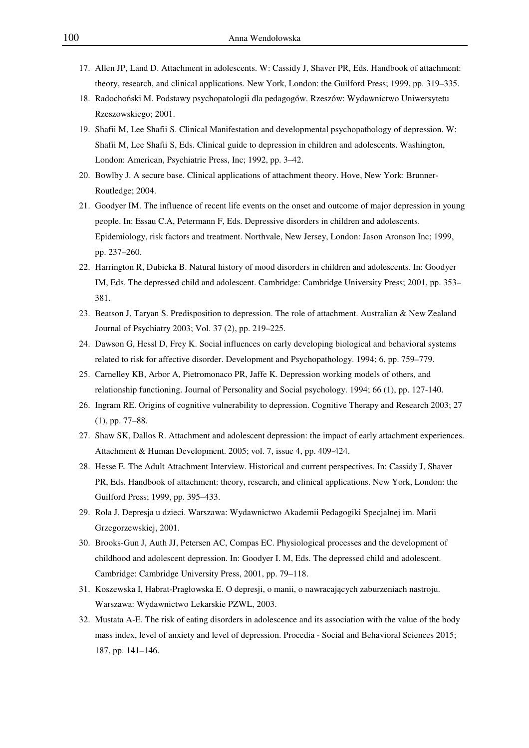- 17. Allen JP, Land D. Attachment in adolescents. W: Cassidy J, Shaver PR, Eds. Handbook of attachment: theory, research, and clinical applications. New York, London: the Guilford Press; 1999, pp. 319–335.
- 18. Radochoński M. Podstawy psychopatologii dla pedagogów. Rzeszów: Wydawnictwo Uniwersytetu Rzeszowskiego; 2001.
- 19. Shafii M, Lee Shafii S. Clinical Manifestation and developmental psychopathology of depression. W: Shafii M, Lee Shafii S, Eds. Clinical guide to depression in children and adolescents. Washington, London: American, Psychiatrie Press, Inc; 1992, pp. 3–42.
- 20. Bowlby J. A secure base. Clinical applications of attachment theory. Hove, New York: Brunner-Routledge; 2004.
- 21. Goodyer IM. The influence of recent life events on the onset and outcome of major depression in young people. In: Essau C.A, Petermann F, Eds. Depressive disorders in children and adolescents. Epidemiology, risk factors and treatment. Northvale, New Jersey, London: Jason Aronson Inc; 1999, pp. 237–260.
- 22. Harrington R, Dubicka B. Natural history of mood disorders in children and adolescents. In: Goodyer IM, Eds. The depressed child and adolescent. Cambridge: Cambridge University Press; 2001, pp. 353– 381.
- 23. Beatson J, Taryan S. Predisposition to depression. The role of attachment. Australian & New Zealand Journal of Psychiatry 2003; Vol. 37 (2), pp. 219–225.
- 24. Dawson G, Hessl D, Frey K. Social influences on early developing biological and behavioral systems related to risk for affective disorder. Development and Psychopathology. 1994; 6, pp. 759–779.
- 25. Carnelley KB, Arbor A, Pietromonaco PR, Jaffe K. Depression working models of others, and relationship functioning. Journal of Personality and Social psychology. 1994; 66 (1), pp. 127-140.
- 26. Ingram RE. Origins of cognitive vulnerability to depression. Cognitive Therapy and Research 2003; 27 (1), pp. 77–88.
- 27. Shaw SK, Dallos R. Attachment and adolescent depression: the impact of early attachment experiences. Attachment & Human Development. 2005; vol. 7, issue 4, pp. 409-424.
- 28. Hesse E. The Adult Attachment Interview. Historical and current perspectives. In: Cassidy J, Shaver PR, Eds. Handbook of attachment: theory, research, and clinical applications. New York, London: the Guilford Press; 1999, pp. 395–433.
- 29. Rola J. Depresja u dzieci. Warszawa: Wydawnictwo Akademii Pedagogiki Specjalnej im. Marii Grzegorzewskiej, 2001.
- 30. Brooks-Gun J, Auth JJ, Petersen AC, Compas EC. Physiological processes and the development of childhood and adolescent depression. In: Goodyer I. M, Eds. The depressed child and adolescent. Cambridge: Cambridge University Press, 2001, pp. 79–118.
- 31. Koszewska I, Habrat-Pragłowska E. O depresji, o manii, o nawracających zaburzeniach nastroju. Warszawa: Wydawnictwo Lekarskie PZWL, 2003.
- 32. Mustata A-E. The risk of eating disorders in adolescence and its association with the value of the body mass index, level of anxiety and level of depression. Procedia - Social and Behavioral Sciences 2015; 187, pp. 141–146.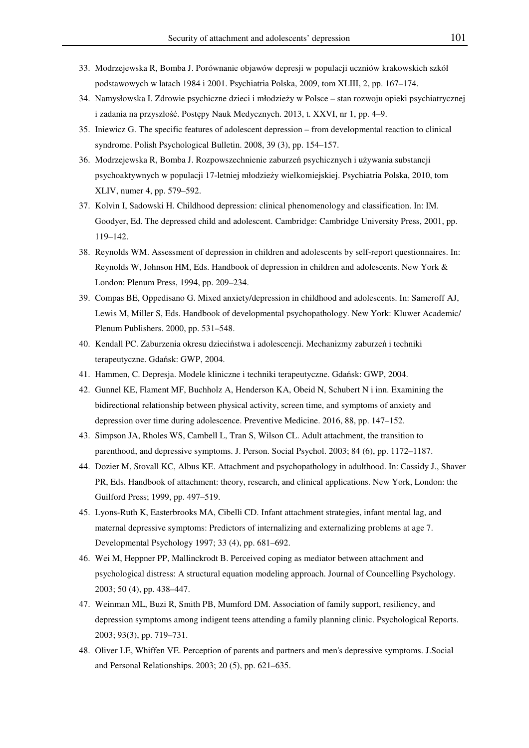- 33. Modrzejewska R, Bomba J. Porównanie objawów depresji w populacji uczniów krakowskich szkół podstawowych w latach 1984 i 2001. Psychiatria Polska, 2009, tom XLIII, 2, pp. 167–174.
- 34. Namysłowska I. Zdrowie psychiczne dzieci i młodzieży w Polsce stan rozwoju opieki psychiatrycznej i zadania na przyszłość. Postępy Nauk Medycznych. 2013, t. XXVI, nr 1, pp. 4–9.
- 35. Iniewicz G. The specific features of adolescent depression from developmental reaction to clinical syndrome. Polish Psychological Bulletin. 2008, 39 (3), pp. 154–157.
- 36. Modrzejewska R, Bomba J. Rozpowszechnienie zaburzeń psychicznych i używania substancji psychoaktywnych w populacji 17-letniej młodzieży wielkomiejskiej. Psychiatria Polska, 2010, tom XLIV, numer 4, pp. 579–592.
- 37. Kolvin I, Sadowski H. Childhood depression: clinical phenomenology and classification. In: IM. Goodyer, Ed. The depressed child and adolescent. Cambridge: Cambridge University Press, 2001, pp. 119–142.
- 38. Reynolds WM. Assessment of depression in children and adolescents by self-report questionnaires. In: Reynolds W, Johnson HM, Eds. Handbook of depression in children and adolescents. New York & London: Plenum Press, 1994, pp. 209–234.
- 39. Compas BE, Oppedisano G. Mixed anxiety/depression in childhood and adolescents. In: Sameroff AJ, Lewis M, Miller S, Eds. Handbook of developmental psychopathology. New York: Kluwer Academic/ Plenum Publishers. 2000, pp. 531–548.
- 40. Kendall PC. Zaburzenia okresu dzieciństwa i adolescencji. Mechanizmy zaburzeń i techniki terapeutyczne. Gdańsk: GWP, 2004.
- 41. Hammen, C. Depresja. Modele kliniczne i techniki terapeutyczne. Gdańsk: GWP, 2004.
- 42. Gunnel KE, Flament MF, Buchholz A, Henderson KA, Obeid N, Schubert N i inn. Examining the bidirectional relationship between physical activity, screen time, and symptoms of anxiety and depression over time during adolescence. Preventive Medicine. 2016, 88, pp. 147–152.
- 43. Simpson JA, Rholes WS, Cambell L, Tran S, Wilson CL. Adult attachment, the transition to parenthood, and depressive symptoms. J. Person. Social Psychol. 2003; 84 (6), pp. 1172–1187.
- 44. Dozier M, Stovall KC, Albus KE. Attachment and psychopathology in adulthood. In: Cassidy J., Shaver PR, Eds. Handbook of attachment: theory, research, and clinical applications. New York, London: the Guilford Press; 1999, pp. 497–519.
- 45. Lyons-Ruth K, Easterbrooks MA, Cibelli CD. Infant attachment strategies, infant mental lag, and maternal depressive symptoms: Predictors of internalizing and externalizing problems at age 7. Developmental Psychology 1997; 33 (4), pp. 681–692.
- 46. Wei M, Heppner PP, Mallinckrodt B. Perceived coping as mediator between attachment and psychological distress: A structural equation modeling approach. Journal of Councelling Psychology. 2003; 50 (4), pp. 438–447.
- 47. Weinman ML, Buzi R, Smith PB, Mumford DM. Association of family support, resiliency, and depression symptoms among indigent teens attending a family planning clinic. Psychological Reports. 2003; 93(3), pp. 719–731.
- 48. Oliver LE, Whiffen VE. Perception of parents and partners and men's depressive symptoms. J.Social and Personal Relationships. 2003; 20 (5), pp. 621–635.